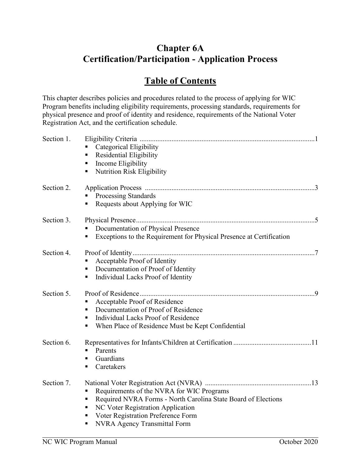# **Chapter 6A Certification/Participation - Application Process**

# **Table of Contents**

This chapter describes policies and procedures related to the process of applying for WIC Program benefits including eligibility requirements, processing standards, requirements for physical presence and proof of identity and residence, requirements of the National Voter Registration Act, and the certification schedule.

| Section 1. | Categorical Eligibility<br>Residential Eligibility<br>٠<br>Income Eligibility<br><b>Nutrition Risk Eligibility</b><br>٠                                                                                                                               |
|------------|-------------------------------------------------------------------------------------------------------------------------------------------------------------------------------------------------------------------------------------------------------|
| Section 2. | Processing Standards                                                                                                                                                                                                                                  |
|            | Requests about Applying for WIC<br>П                                                                                                                                                                                                                  |
| Section 3. | Documentation of Physical Presence<br>Exceptions to the Requirement for Physical Presence at Certification<br>п                                                                                                                                       |
| Section 4. | Acceptable Proof of Identity<br>Documentation of Proof of Identity<br>п<br>Individual Lacks Proof of Identity<br>٠                                                                                                                                    |
| Section 5. | Acceptable Proof of Residence<br>Documentation of Proof of Residence<br>٠<br>Individual Lacks Proof of Residence<br>٠<br>When Place of Residence Must be Kept Confidential<br>٠                                                                       |
| Section 6. | Parents<br>Guardians<br>Caretakers<br>п                                                                                                                                                                                                               |
| Section 7. | Requirements of the NVRA for WIC Programs<br>Ξ<br>Required NVRA Forms - North Carolina State Board of Elections<br>П<br>NC Voter Registration Application<br>П<br>Voter Registration Preference Form<br>ш<br><b>NVRA Agency Transmittal Form</b><br>٠ |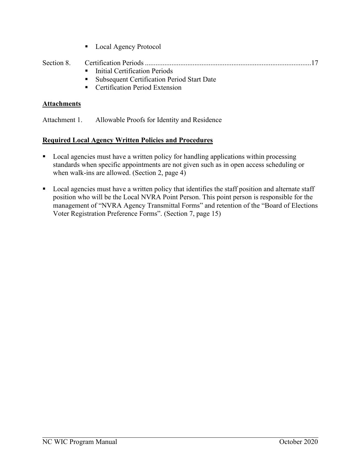■ Local Agency Protocol

| • Initial Certification Periods |
|---------------------------------|

- Subsequent Certification Period Start Date
- Certification Period Extension

## **Attachments**

Attachment 1. Allowable Proofs for Identity and Residence

## **Required Local Agency Written Policies and Procedures**

- **Local agencies must have a written policy for handling applications within processing** standards when specific appointments are not given such as in open access scheduling or when walk-ins are allowed. (Section 2, page 4)
- **Local agencies must have a written policy that identifies the staff position and alternate staff** position who will be the Local NVRA Point Person. This point person is responsible for the management of "NVRA Agency Transmittal Forms" and retention of the "Board of Elections Voter Registration Preference Forms". (Section 7, page 15)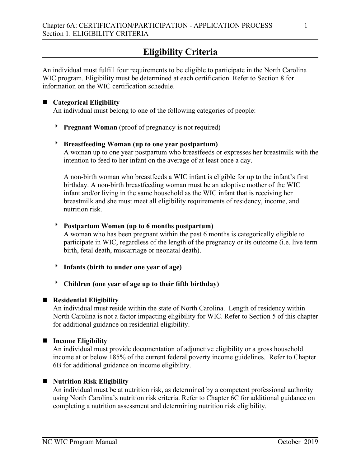# **Eligibility Criteria**

An individual must fulfill four requirements to be eligible to participate in the North Carolina WIC program. Eligibility must be determined at each certification. Refer to Section 8 for information on the WIC certification schedule.

# **Categorical Eligibility**

An individual must belong to one of the following categories of people:

**Pregnant Woman** (proof of pregnancy is not required)

#### **Breastfeeding Woman (up to one year postpartum)**

A woman up to one year postpartum who breastfeeds or expresses her breastmilk with the intention to feed to her infant on the average of at least once a day.

A non-birth woman who breastfeeds a WIC infant is eligible for up to the infant's first birthday. A non-birth breastfeeding woman must be an adoptive mother of the WIC infant and/or living in the same household as the WIC infant that is receiving her breastmilk and she must meet all eligibility requirements of residency, income, and nutrition risk.

## **Postpartum Women (up to 6 months postpartum)**

A woman who has been pregnant within the past 6 months is categorically eligible to participate in WIC, regardless of the length of the pregnancy or its outcome (i.e. live term birth, fetal death, miscarriage or neonatal death).

- **Infants (birth to under one year of age)**
- **Children (one year of age up to their fifth birthday)**

### **Residential Eligibility**

An individual must reside within the state of North Carolina. Length of residency within North Carolina is not a factor impacting eligibility for WIC. Refer to Section 5 of this chapter for additional guidance on residential eligibility.

### **Income Eligibility**

An individual must provide documentation of adjunctive eligibility or a gross household income at or below 185% of the current federal poverty income guidelines. Refer to Chapter 6B for additional guidance on income eligibility.

### **Nutrition Risk Eligibility**

An individual must be at nutrition risk, as determined by a competent professional authority using North Carolina's nutrition risk criteria. Refer to Chapter 6C for additional guidance on completing a nutrition assessment and determining nutrition risk eligibility.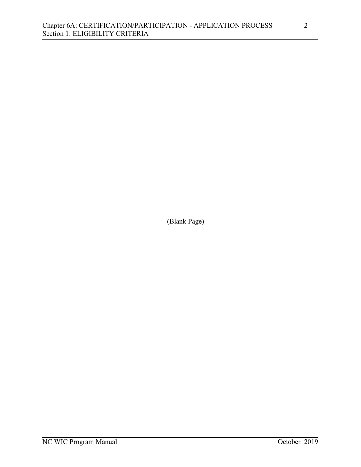(Blank Page)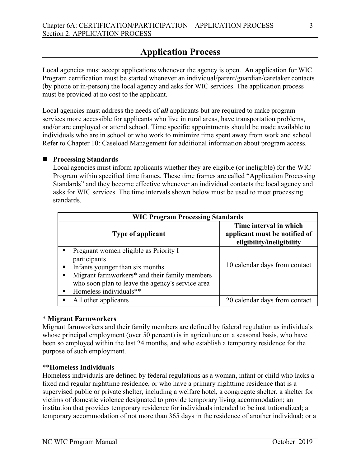# **Application Process**

Local agencies must accept applications whenever the agency is open. An application for WIC Program certification must be started whenever an individual/parent/guardian/caretaker contacts (by phone or in-person) the local agency and asks for WIC services. The application process must be provided at no cost to the applicant.

Local agencies must address the needs of *all* applicants but are required to make program services more accessible for applicants who live in rural areas, have transportation problems, and/or are employed or attend school. Time specific appointments should be made available to individuals who are in school or who work to minimize time spent away from work and school. Refer to Chapter 10: Caseload Management for additional information about program access.

#### **Processing Standards**

Local agencies must inform applicants whether they are eligible (or ineligible) for the WIC Program within specified time frames. These time frames are called "Application Processing Standards" and they become effective whenever an individual contacts the local agency and asks for WIC services. The time intervals shown below must be used to meet processing standards.

| <b>WIC Program Processing Standards</b>                                                                                                                                                                                      |                                                                                      |  |  |
|------------------------------------------------------------------------------------------------------------------------------------------------------------------------------------------------------------------------------|--------------------------------------------------------------------------------------|--|--|
| <b>Type of applicant</b>                                                                                                                                                                                                     | Time interval in which<br>applicant must be notified of<br>eligibility/ineligibility |  |  |
| Pregnant women eligible as Priority I<br>participants<br>Infants younger than six months<br>Migrant farmworkers* and their family members<br>٠<br>who soon plan to leave the agency's service area<br>Homeless individuals** | 10 calendar days from contact                                                        |  |  |
| All other applicants<br>٠                                                                                                                                                                                                    | 20 calendar days from contact                                                        |  |  |

#### \* **Migrant Farmworkers**

Migrant farmworkers and their family members are defined by federal regulation as individuals whose principal employment (over 50 percent) is in agriculture on a seasonal basis, who have been so employed within the last 24 months, and who establish a temporary residence for the purpose of such employment.

#### \*\***Homeless Individuals**

Homeless individuals are defined by federal regulations as a woman, infant or child who lacks a fixed and regular nighttime residence, or who have a primary nighttime residence that is a supervised public or private shelter, including a welfare hotel, a congregate shelter, a shelter for victims of domestic violence designated to provide temporary living accommodation; an institution that provides temporary residence for individuals intended to be institutionalized; a temporary accommodation of not more than 365 days in the residence of another individual; or a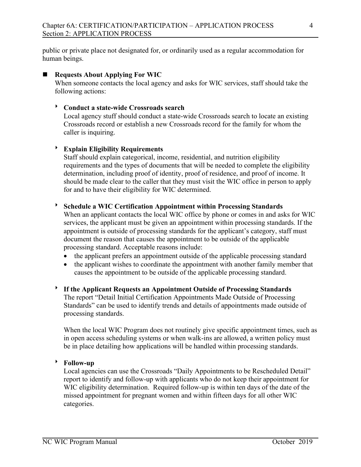public or private place not designated for, or ordinarily used as a regular accommodation for human beings.

## **Requests About Applying For WIC**

When someone contacts the local agency and asks for WIC services, staff should take the following actions:

## **Conduct a state-wide Crossroads search**

Local agency stuff should conduct a state-wide Crossroads search to locate an existing Crossroads record or establish a new Crossroads record for the family for whom the caller is inquiring.

## **Explain Eligibility Requirements**

Staff should explain categorical, income, residential, and nutrition eligibility requirements and the types of documents that will be needed to complete the eligibility determination, including proof of identity, proof of residence, and proof of income. It should be made clear to the caller that they must visit the WIC office in person to apply for and to have their eligibility for WIC determined.

## **Schedule a WIC Certification Appointment within Processing Standards**

When an applicant contacts the local WIC office by phone or comes in and asks for WIC services, the applicant must be given an appointment within processing standards. If the appointment is outside of processing standards for the applicant's category, staff must document the reason that causes the appointment to be outside of the applicable processing standard. Acceptable reasons include:

- the applicant prefers an appointment outside of the applicable processing standard
- the applicant wishes to coordinate the appointment with another family member that causes the appointment to be outside of the applicable processing standard.
- **If the Applicant Requests an Appointment Outside of Processing Standards** The report "Detail Initial Certification Appointments Made Outside of Processing Standards" can be used to identify trends and details of appointments made outside of processing standards.

When the local WIC Program does not routinely give specific appointment times, such as in open access scheduling systems or when walk-ins are allowed, a written policy must be in place detailing how applications will be handled within processing standards.

### **Follow-up**

Local agencies can use the Crossroads "Daily Appointments to be Rescheduled Detail" report to identify and follow-up with applicants who do not keep their appointment for WIC eligibility determination. Required follow-up is within ten days of the date of the missed appointment for pregnant women and within fifteen days for all other WIC categories.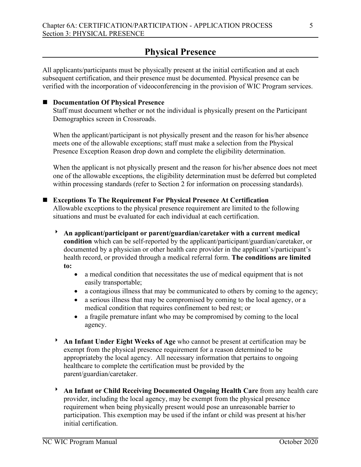# **Physical Presence**

All applicants/participants must be physically present at the initial certification and at each subsequent certification, and their presence must be documented. Physical presence can be verified with the incorporation of videoconferencing in the provision of WIC Program services.

## ■ **Documentation Of Physical Presence**

Staff must document whether or not the individual is physically present on the Participant Demographics screen in Crossroads.

When the applicant/participant is not physically present and the reason for his/her absence meets one of the allowable exceptions; staff must make a selection from the Physical Presence Exception Reason drop down and complete the eligibility determination.

When the applicant is not physically present and the reason for his/her absence does not meet one of the allowable exceptions, the eligibility determination must be deferred but completed within processing standards (refer to Section 2 for information on processing standards).

### **Exceptions To The Requirement For Physical Presence At Certification**

Allowable exceptions to the physical presence requirement are limited to the following situations and must be evaluated for each individual at each certification.

- **An applicant/participant or parent/guardian/caretaker with a current medical condition** which can be self-reported by the applicant/participant/guardian/caretaker, or documented by a physician or other health care provider in the applicant's/participant's health record, or provided through a medical referral form. **The conditions are limited to:**
	- a medical condition that necessitates the use of medical equipment that is not easily transportable;
	- a contagious illness that may be communicated to others by coming to the agency;
	- a serious illness that may be compromised by coming to the local agency, or a medical condition that requires confinement to bed rest; or
	- a fragile premature infant who may be compromised by coming to the local agency.
- **An Infant Under Eight Weeks of Age** who cannot be present at certification may be exempt from the physical presence requirement for a reason determined to be appropriateby the local agency. All necessary information that pertains to ongoing healthcare to complete the certification must be provided by the parent/guardian/caretaker.
- **An Infant or Child Receiving Documented Ongoing Health Care** from any health care provider, including the local agency, may be exempt from the physical presence requirement when being physically present would pose an unreasonable barrier to participation. This exemption may be used if the infant or child was present at his/her initial certification.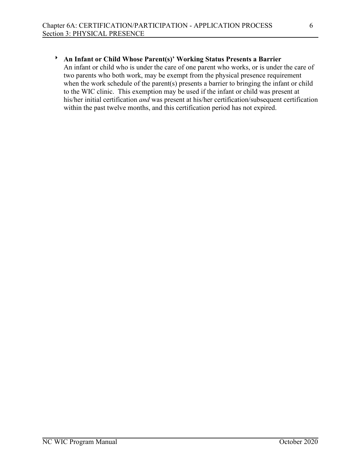# **An Infant or Child Whose Parent(s)' Working Status Presents a Barrier**

An infant or child who is under the care of one parent who works, or is under the care of two parents who both work, may be exempt from the physical presence requirement when the work schedule of the parent(s) presents a barrier to bringing the infant or child to the WIC clinic. This exemption may be used if the infant or child was present at his/her initial certification *and* was present at his/her certification/subsequent certification within the past twelve months, and this certification period has not expired.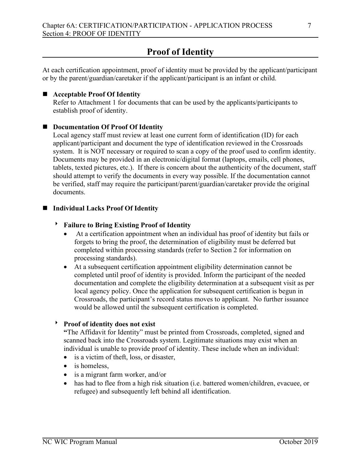# **Proof of Identity**

At each certification appointment, proof of identity must be provided by the applicant/participant or by the parent/guardian/caretaker if the applicant/participant is an infant or child.

#### **Acceptable Proof Of Identity**

Refer to Attachment 1 for documents that can be used by the applicants/participants to establish proof of identity.

#### ■ **Documentation Of Proof Of Identity**

Local agency staff must review at least one current form of identification (ID) for each applicant/participant and document the type of identification reviewed in the Crossroads system. It is NOT necessary or required to scan a copy of the proof used to confirm identity. Documents may be provided in an electronic/digital format (laptops, emails, cell phones, tablets, texted pictures, etc.). If there is concern about the authenticity of the document, staff should attempt to verify the documents in every way possible. If the documentation cannot be verified, staff may require the participant/parent/guardian/caretaker provide the original documents.

#### **Individual Lacks Proof Of Identity**

#### **Failure to Bring Existing Proof of Identity**

- At a certification appointment when an individual has proof of identity but fails or forgets to bring the proof, the determination of eligibility must be deferred but completed within processing standards (refer to Section 2 for information on processing standards).
- At a subsequent certification appointment eligibility determination cannot be completed until proof of identity is provided. Inform the participant of the needed documentation and complete the eligibility determination at a subsequent visit as per local agency policy. Once the application for subsequent certification is begun in Crossroads, the participant's record status moves to applicant. No further issuance would be allowed until the subsequent certification is completed.

### **Proof of identity does not exist**

**"**The Affidavit for Identity" must be printed from Crossroads, completed, signed and scanned back into the Crossroads system. Legitimate situations may exist when an individual is unable to provide proof of identity. These include when an individual:

- is a victim of theft, loss, or disaster,
- is homeless,
- is a migrant farm worker, and/or
- has had to flee from a high risk situation (i.e. battered women/children, evacuee, or refugee) and subsequently left behind all identification.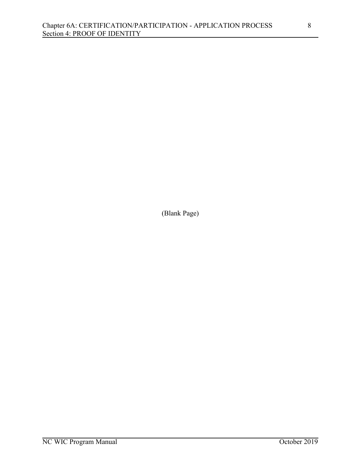(Blank Page)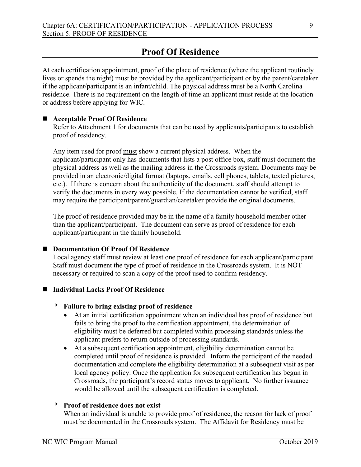# **Proof Of Residence**

At each certification appointment, proof of the place of residence (where the applicant routinely lives or spends the night) must be provided by the applicant/participant or by the parent/caretaker if the applicant/participant is an infant/child. The physical address must be a North Carolina residence. There is no requirement on the length of time an applicant must reside at the location or address before applying for WIC.

#### **Acceptable Proof Of Residence**

Refer to Attachment 1 for documents that can be used by applicants/participants to establish proof of residency.

Any item used for proof must show a current physical address. When the applicant/participant only has documents that lists a post office box, staff must document the physical address as well as the mailing address in the Crossroads system. Documents may be provided in an electronic/digital format (laptops, emails, cell phones, tablets, texted pictures, etc.). If there is concern about the authenticity of the document, staff should attempt to verify the documents in every way possible. If the documentation cannot be verified, staff may require the participant/parent/guardian/caretaker provide the original documents.

The proof of residence provided may be in the name of a family household member other than the applicant/participant. The document can serve as proof of residence for each applicant/participant in the family household.

### **Documentation Of Proof Of Residence**

Local agency staff must review at least one proof of residence for each applicant/participant. Staff must document the type of proof of residence in the Crossroads system. It is NOT necessary or required to scan a copy of the proof used to confirm residency.

### **Individual Lacks Proof Of Residence**

### **Failure to bring existing proof of residence**

- At an initial certification appointment when an individual has proof of residence but fails to bring the proof to the certification appointment, the determination of eligibility must be deferred but completed within processing standards unless the applicant prefers to return outside of processing standards.
- At a subsequent certification appointment, eligibility determination cannot be completed until proof of residence is provided. Inform the participant of the needed documentation and complete the eligibility determination at a subsequent visit as per local agency policy. Once the application for subsequent certification has begun in Crossroads, the participant's record status moves to applicant. No further issuance would be allowed until the subsequent certification is completed.

### **Proof of residence does not exist**

When an individual is unable to provide proof of residence, the reason for lack of proof must be documented in the Crossroads system. The Affidavit for Residency must be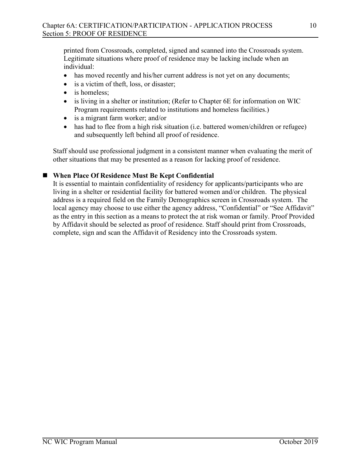printed from Crossroads, completed, signed and scanned into the Crossroads system. Legitimate situations where proof of residence may be lacking include when an individual:

- has moved recently and his/her current address is not yet on any documents;
- is a victim of theft, loss, or disaster;
- is homeless;
- is living in a shelter or institution; (Refer to Chapter 6E for information on WIC Program requirements related to institutions and homeless facilities.)
- is a migrant farm worker: and/or
- has had to flee from a high risk situation (i.e. battered women/children or refugee) and subsequently left behind all proof of residence.

Staff should use professional judgment in a consistent manner when evaluating the merit of other situations that may be presented as a reason for lacking proof of residence.

## **When Place Of Residence Must Be Kept Confidential**

It is essential to maintain confidentiality of residency for applicants/participants who are living in a shelter or residential facility for battered women and/or children. The physical address is a required field on the Family Demographics screen in Crossroads system. The local agency may choose to use either the agency address, "Confidential" or "See Affidavit" as the entry in this section as a means to protect the at risk woman or family. Proof Provided by Affidavit should be selected as proof of residence. Staff should print from Crossroads, complete, sign and scan the Affidavit of Residency into the Crossroads system.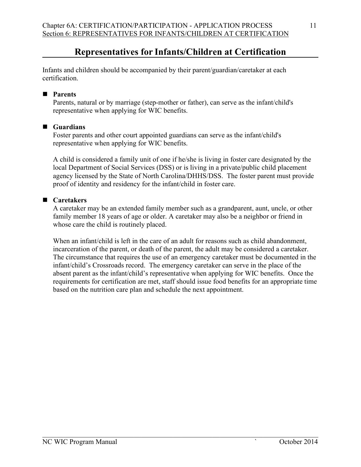# **Representatives for Infants/Children at Certification**

Infants and children should be accompanied by their parent/guardian/caretaker at each certification.

#### **Parents**

Parents, natural or by marriage (step-mother or father), can serve as the infant/child's representative when applying for WIC benefits.

#### **Guardians**

Foster parents and other court appointed guardians can serve as the infant/child's representative when applying for WIC benefits.

A child is considered a family unit of one if he/she is living in foster care designated by the local Department of Social Services (DSS) or is living in a private/public child placement agency licensed by the State of North Carolina/DHHS/DSS. The foster parent must provide proof of identity and residency for the infant/child in foster care.

#### ■ **Caretakers**

A caretaker may be an extended family member such as a grandparent, aunt, uncle, or other family member 18 years of age or older. A caretaker may also be a neighbor or friend in whose care the child is routinely placed.

When an infant/child is left in the care of an adult for reasons such as child abandonment, incarceration of the parent, or death of the parent, the adult may be considered a caretaker. The circumstance that requires the use of an emergency caretaker must be documented in the infant/child's Crossroads record. The emergency caretaker can serve in the place of the absent parent as the infant/child's representative when applying for WIC benefits. Once the requirements for certification are met, staff should issue food benefits for an appropriate time based on the nutrition care plan and schedule the next appointment.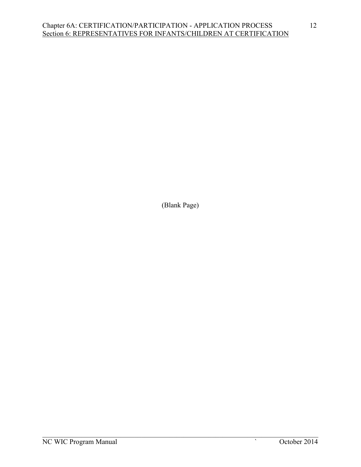(Blank Page)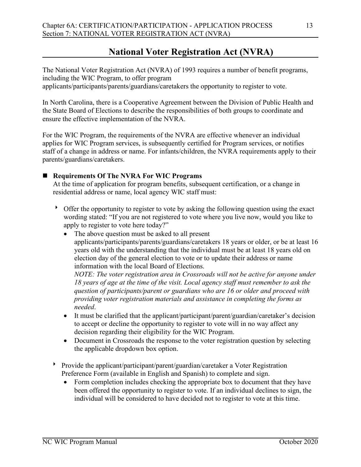# **National Voter Registration Act (NVRA)**

The National Voter Registration Act (NVRA) of 1993 requires a number of benefit programs, including the WIC Program, to offer program applicants/participants/parents/guardians/caretakers the opportunity to register to vote.

In North Carolina, there is a Cooperative Agreement between the Division of Public Health and the State Board of Elections to describe the responsibilities of both groups to coordinate and ensure the effective implementation of the NVRA.

For the WIC Program, the requirements of the NVRA are effective whenever an individual applies for WIC Program services, is subsequently certified for Program services, or notifies staff of a change in address or name. For infants/children, the NVRA requirements apply to their parents/guardians/caretakers.

### **Requirements Of The NVRA For WIC Programs**

At the time of application for program benefits, subsequent certification, or a change in residential address or name, local agency WIC staff must:

- Offer the opportunity to register to vote by asking the following question using the exact wording stated: "If you are not registered to vote where you live now, would you like to apply to register to vote here today?"
	- The above question must be asked to all present applicants/participants/parents/guardians/caretakers 18 years or older, or be at least 16 years old with the understanding that the individual must be at least 18 years old on election day of the general election to vote or to update their address or name information with the local Board of Elections.

*NOTE: The voter registration area in Crossroads will not be active for anyone under 18 years of age at the time of the visit. Local agency staff must remember to ask the question of participants/parent or guardians who are 16 or older and proceed with providing voter registration materials and assistance in completing the forms as needed*.

- It must be clarified that the applicant/participant/parent/guardian/caretaker's decision to accept or decline the opportunity to register to vote will in no way affect any decision regarding their eligibility for the WIC Program.
- Document in Crossroads the response to the voter registration question by selecting the applicable dropdown box option.
- Provide the applicant/participant/parent/guardian/caretaker a Voter Registration Preference Form (available in English and Spanish) to complete and sign.
	- Form completion includes checking the appropriate box to document that they have been offered the opportunity to register to vote. If an individual declines to sign, the individual will be considered to have decided not to register to vote at this time.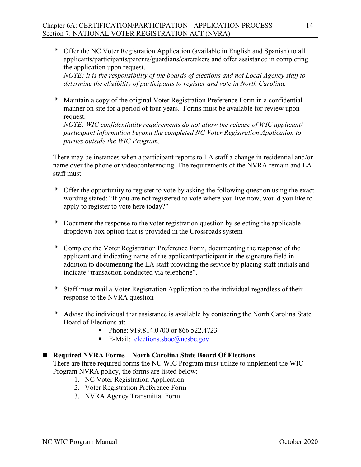Offer the NC Voter Registration Application (available in English and Spanish) to all applicants/participants/parents/guardians/caretakers and offer assistance in completing the application upon request.

*NOTE: It is the responsibility of the boards of elections and not Local Agency staff to determine the eligibility of participants to register and vote in North Carolina.* 

 Maintain a copy of the original Voter Registration Preference Form in a confidential manner on site for a period of four years. Forms must be available for review upon request.

*NOTE: WIC confidentiality requirements do not allow the release of WIC applicant/ participant information beyond the completed NC Voter Registration Application to parties outside the WIC Program.*

There may be instances when a participant reports to LA staff a change in residential and/or name over the phone or videoconferencing. The requirements of the NVRA remain and LA staff must:

- Offer the opportunity to register to vote by asking the following question using the exact wording stated: "If you are not registered to vote where you live now, would you like to apply to register to vote here today?"
- Document the response to the voter registration question by selecting the applicable dropdown box option that is provided in the Crossroads system
- Complete the Voter Registration Preference Form, documenting the response of the applicant and indicating name of the applicant/participant in the signature field in addition to documenting the LA staff providing the service by placing staff initials and indicate "transaction conducted via telephone".
- Staff must mail a Voter Registration Application to the individual regardless of their response to the NVRA question
- Advise the individual that assistance is available by contacting the North Carolina State Board of Elections at:
	- Phone: 919.814.0700 or 866.522.4723
	- E-Mail: [elections.sboe@ncsbe.gov](mailto:elections.sboe@ncsbe.gov)

### ■ **Required NVRA Forms – North Carolina State Board Of Elections**

There are three required forms the NC WIC Program must utilize to implement the WIC Program NVRA policy, the forms are listed below:

- 1. NC Voter Registration Application
- 2. Voter Registration Preference Form
- 3. NVRA Agency Transmittal Form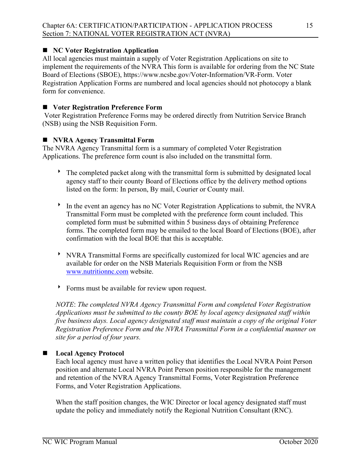## **NC Voter Registration Application**

All local agencies must maintain a supply of Voter Registration Applications on site to implement the requirements of the NVRA This form is available for ordering from the NC State Board of Elections (SBOE), https://www.ncsbe.gov/Voter-Information/VR-Form. Voter Registration Application Forms are numbered and local agencies should not photocopy a blank form for convenience.

## **Voter Registration Preference Form**

Voter Registration Preference Forms may be ordered directly from Nutrition Service Branch (NSB) using the NSB Requisition Form.

## **NVRA Agency Transmittal Form**

The NVRA Agency Transmittal form is a summary of completed Voter Registration Applications. The preference form count is also included on the transmittal form.

- The completed packet along with the transmittal form is submitted by designated local agency staff to their county Board of Elections office by the delivery method options listed on the form: In person, By mail, Courier or County mail.
- In the event an agency has no NC Voter Registration Applications to submit, the NVRA Transmittal Form must be completed with the preference form count included. This completed form must be submitted within 5 business days of obtaining Preference forms. The completed form may be emailed to the local Board of Elections (BOE), after confirmation with the local BOE that this is acceptable.
- NVRA Transmittal Forms are specifically customized for local WIC agencies and are available for order on the NSB Materials Requisition Form or from the NSB [www.nutritionnc.com](http://www.nutritionnc.com/) website.
- Forms must be available for review upon request.

*NOTE*: *The completed NVRA Agency Transmittal Form and completed Voter Registration Applications must be submitted to the county BOE by local agency designated staff within five business days. Local agency designated staff must maintain a copy of the original Voter Registration Preference Form and the NVRA Transmittal Form in a confidential manner on site for a period of four years.*

### **Local Agency Protocol**

Each local agency must have a written policy that identifies the Local NVRA Point Person position and alternate Local NVRA Point Person position responsible for the management and retention of the NVRA Agency Transmittal Forms, Voter Registration Preference Forms, and Voter Registration Applications.

When the staff position changes, the WIC Director or local agency designated staff must update the policy and immediately notify the Regional Nutrition Consultant (RNC).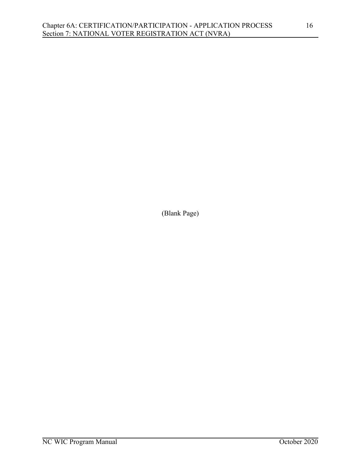(Blank Page)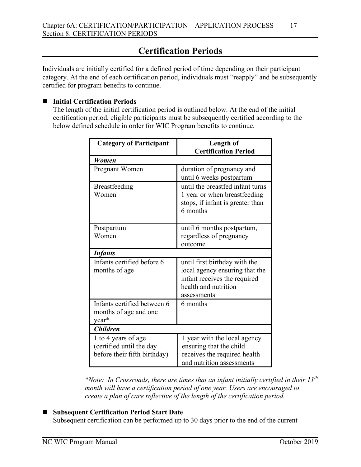# **Certification Periods**

Individuals are initially certified for a defined period of time depending on their participant category. At the end of each certification period, individuals must "reapply" and be subsequently certified for program benefits to continue.

## **Initial Certification Periods**

The length of the initial certification period is outlined below. At the end of the initial certification period, eligible participants must be subsequently certified according to the below defined schedule in order for WIC Program benefits to continue.

| <b>Category of Participant</b>                                                  | Length of<br><b>Certification Period</b>                                                                                               |  |
|---------------------------------------------------------------------------------|----------------------------------------------------------------------------------------------------------------------------------------|--|
| Women                                                                           |                                                                                                                                        |  |
| <b>Pregnant Women</b>                                                           | duration of pregnancy and<br>until 6 weeks postpartum                                                                                  |  |
| Breastfeeding<br>Women                                                          | until the breastfed infant turns<br>1 year or when breastfeeding<br>stops, if infant is greater than<br>6 months                       |  |
| Postpartum<br>Women                                                             | until 6 months postpartum,<br>regardless of pregnancy<br>outcome                                                                       |  |
| <b>Infants</b>                                                                  |                                                                                                                                        |  |
| Infants certified before 6<br>months of age                                     | until first birthday with the<br>local agency ensuring that the<br>infant receives the required<br>health and nutrition<br>assessments |  |
| Infants certified between 6<br>months of age and one<br>year*                   | 6 months                                                                                                                               |  |
| <b>Children</b>                                                                 |                                                                                                                                        |  |
| 1 to 4 years of age<br>(certified until the day<br>before their fifth birthday) | 1 year with the local agency<br>ensuring that the child<br>receives the required health<br>and nutrition assessments                   |  |

*\*Note: In Crossroads, there are times that an infant initially certified in their 11th month will have a certification period of one year. Users are encouraged to create a plan of care reflective of the length of the certification period.*

## **Subsequent Certification Period Start Date**

Subsequent certification can be performed up to 30 days prior to the end of the current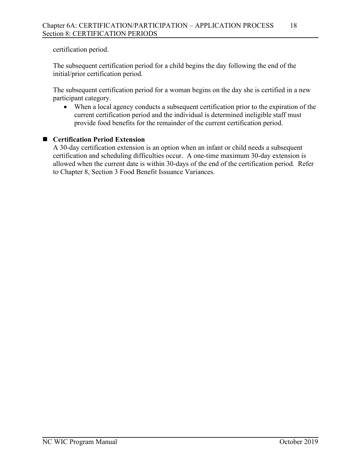certification period.

The subsequent certification period for a child begins the day following the end of the initial/prior certification period.

The subsequent certification period for a woman begins on the day she is certified in a new participant category.

• When a local agency conducts a subsequent certification prior to the expiration of the current certification period and the individual is determined ineligible staff must provide food benefits for the remainder of the current certification period.

## ■ **Certification Period Extension**

A 30-day certification extension is an option when an infant or child needs a subsequent certification and scheduling difficulties occur. A one-time maximum 30-day extension is allowed when the current date is within 30-days of the end of the certification period. Refer to Chapter 8, Section 3 Food Benefit Issuance Variances.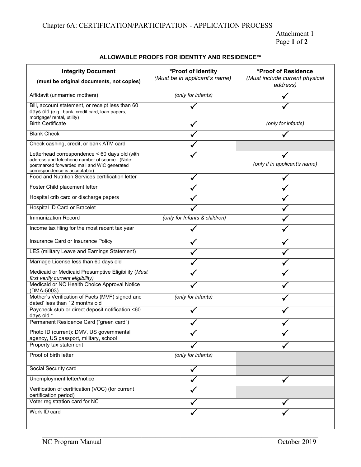Chapter 6A: CERTIFICATION/PARTICIPATION - APPLICATION PROCESS

Attachment 1 Page **1** of **2**

| (must be original documents, not copies)<br>Affidavit (unmarried mothers)<br>Bill, account statement, or receipt less than 60<br>days old (e.g., bank, credit card, loan papers,<br>mortgage/ rental, utility)<br><b>Birth Certificate</b><br><b>Blank Check</b><br>Check cashing, credit, or bank ATM card<br>Letterhead correspondence < 60 days old (with<br>address and telephone number of source. (Note:<br>postmarked forwarded mail and WIC generated<br>correspondence is acceptable)<br>Food and Nutrition Services certification letter<br>Foster Child placement letter | (Must be in applicant's name)<br>(only for infants)<br>(only for Infants & children) | (Must include current physical<br>address)<br>(only for infants)<br>(only if in applicant's name) |
|-------------------------------------------------------------------------------------------------------------------------------------------------------------------------------------------------------------------------------------------------------------------------------------------------------------------------------------------------------------------------------------------------------------------------------------------------------------------------------------------------------------------------------------------------------------------------------------|--------------------------------------------------------------------------------------|---------------------------------------------------------------------------------------------------|
|                                                                                                                                                                                                                                                                                                                                                                                                                                                                                                                                                                                     |                                                                                      |                                                                                                   |
|                                                                                                                                                                                                                                                                                                                                                                                                                                                                                                                                                                                     |                                                                                      |                                                                                                   |
|                                                                                                                                                                                                                                                                                                                                                                                                                                                                                                                                                                                     |                                                                                      |                                                                                                   |
|                                                                                                                                                                                                                                                                                                                                                                                                                                                                                                                                                                                     |                                                                                      |                                                                                                   |
|                                                                                                                                                                                                                                                                                                                                                                                                                                                                                                                                                                                     |                                                                                      |                                                                                                   |
|                                                                                                                                                                                                                                                                                                                                                                                                                                                                                                                                                                                     |                                                                                      |                                                                                                   |
|                                                                                                                                                                                                                                                                                                                                                                                                                                                                                                                                                                                     |                                                                                      |                                                                                                   |
|                                                                                                                                                                                                                                                                                                                                                                                                                                                                                                                                                                                     |                                                                                      |                                                                                                   |
|                                                                                                                                                                                                                                                                                                                                                                                                                                                                                                                                                                                     |                                                                                      |                                                                                                   |
| Hospital crib card or discharge papers                                                                                                                                                                                                                                                                                                                                                                                                                                                                                                                                              |                                                                                      |                                                                                                   |
| <b>Hospital ID Card or Bracelet</b>                                                                                                                                                                                                                                                                                                                                                                                                                                                                                                                                                 |                                                                                      |                                                                                                   |
| <b>Immunization Record</b>                                                                                                                                                                                                                                                                                                                                                                                                                                                                                                                                                          |                                                                                      |                                                                                                   |
| Income tax filing for the most recent tax year                                                                                                                                                                                                                                                                                                                                                                                                                                                                                                                                      |                                                                                      |                                                                                                   |
| Insurance Card or Insurance Policy                                                                                                                                                                                                                                                                                                                                                                                                                                                                                                                                                  |                                                                                      |                                                                                                   |
| LES (military Leave and Earnings Statement)                                                                                                                                                                                                                                                                                                                                                                                                                                                                                                                                         |                                                                                      |                                                                                                   |
| Marriage License less than 60 days old                                                                                                                                                                                                                                                                                                                                                                                                                                                                                                                                              |                                                                                      |                                                                                                   |
| Medicaid or Medicaid Presumptive Eligibility (Must<br>first verify current eligibility)                                                                                                                                                                                                                                                                                                                                                                                                                                                                                             |                                                                                      |                                                                                                   |
| Medicaid or NC Health Choice Approval Notice<br>(DMA-5003)                                                                                                                                                                                                                                                                                                                                                                                                                                                                                                                          |                                                                                      |                                                                                                   |
| Mother's Verification of Facts (MVF) signed and<br>dated' less than 12 months old                                                                                                                                                                                                                                                                                                                                                                                                                                                                                                   | (only for infants)                                                                   |                                                                                                   |
| Paycheck stub or direct deposit notification <60<br>days old *                                                                                                                                                                                                                                                                                                                                                                                                                                                                                                                      |                                                                                      |                                                                                                   |
| Permanent Residence Card ("green card")                                                                                                                                                                                                                                                                                                                                                                                                                                                                                                                                             |                                                                                      |                                                                                                   |
| Photo ID (current): DMV, US governmental<br>agency, US passport, military, school                                                                                                                                                                                                                                                                                                                                                                                                                                                                                                   |                                                                                      |                                                                                                   |
| Property tax statement                                                                                                                                                                                                                                                                                                                                                                                                                                                                                                                                                              |                                                                                      |                                                                                                   |
| Proof of birth letter                                                                                                                                                                                                                                                                                                                                                                                                                                                                                                                                                               | (only for infants)                                                                   |                                                                                                   |
| Social Security card                                                                                                                                                                                                                                                                                                                                                                                                                                                                                                                                                                |                                                                                      |                                                                                                   |
| Unemployment letter/notice                                                                                                                                                                                                                                                                                                                                                                                                                                                                                                                                                          |                                                                                      |                                                                                                   |
| Verification of certification (VOC) (for current<br>certification period)                                                                                                                                                                                                                                                                                                                                                                                                                                                                                                           |                                                                                      |                                                                                                   |
| Voter registration card for NC                                                                                                                                                                                                                                                                                                                                                                                                                                                                                                                                                      |                                                                                      |                                                                                                   |
| Work ID card                                                                                                                                                                                                                                                                                                                                                                                                                                                                                                                                                                        |                                                                                      |                                                                                                   |

\_\_\_\_\_\_\_\_\_\_\_\_\_\_\_\_\_\_\_\_\_\_\_\_\_\_\_\_\_\_\_\_\_\_\_\_\_\_\_\_\_\_\_\_\_\_\_\_\_\_\_\_\_\_\_\_\_\_\_\_\_\_\_\_\_\_\_\_\_\_\_\_\_\_\_\_\_\_

#### **ALLOWABLE PROOFS FOR IDENTITY AND RESIDENCE\*\***